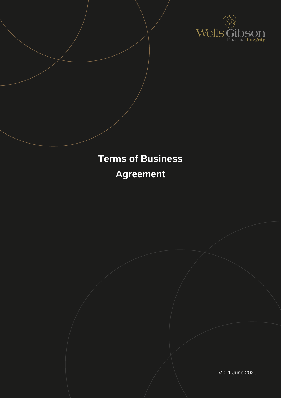

## **Terms of Business Agreement**

V 0.1 June 2020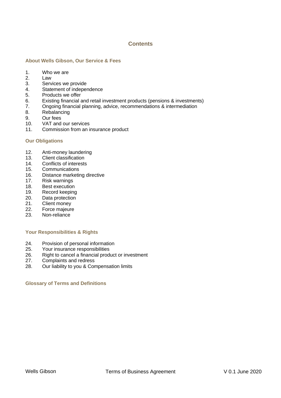#### **Contents**

#### **About Wells Gibson, Our Service & Fees**

- 1. Who we are
- 2. Law
- 3. Services we provide
- 4. Statement of independence<br>5. Products we offer
- Products we offer
- 6. Existing financial and retail investment products (pensions & investments)<br>7. Ongoing financial planning, advice, recommendations & intermediation
- 7. Ongoing financial planning, advice, recommendations & intermediation
- **Rebalancing**
- 9. Our fees<br>10. VAT and
- 10. VAT and our services<br>11. Commission from an i
- Commission from an insurance product

#### **Our Obligations**

- 12. Anti-money laundering<br>13. Client classification
- 13. Client classification<br>14. Conflicts of interests
- Conflicts of interests
- 15. Communications
- 16. Distance marketing directive<br>17. Risk warnings
- 17. Risk warnings<br>18. Best execution
- Best execution
- 19. Record keeping
- 20. Data protection<br>21. Client monev
- 21. Client money<br>22. Force maieure
- 22. Force majeure<br>23. Non-reliance
- Non-reliance

#### **Your Responsibilities & Rights**

- 24. Provision of personal information<br>25. Your insurance responsibilities
- Your insurance responsibilities
- 26. Right to cancel a financial product or investment
- 27. Complaints and redress<br>28. Our liability to you & Cor
- Our liability to you & Compensation limits

#### **Glossary of Terms and Definitions**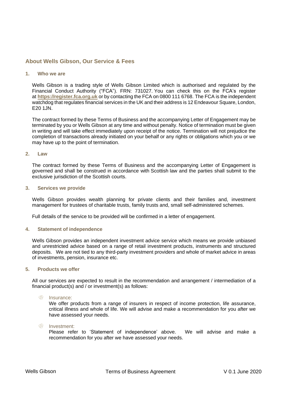#### **About Wells Gibson, Our Service & Fees**

#### **1. Who we are**

Wells Gibson is a trading style of Wells Gibson Limited which is authorised and regulated by the Financial Conduct Authority ("FCA"). FRN: 731027. You can check this on the FCA's register at **[https://register.fca.org.uk](https://register.fca.org.uk/)** or by contacting the FCA on 0800 111 6768. The FCA is the independent watchdog that regulates financial services in the UK and their address is 12 Endeavour Square, London, E20 1JN.

The contract formed by these Terms of Business and the accompanying Letter of Engagement may be terminated by you or Wells Gibson at any time and without penalty. Notice of termination must be given in writing and will take effect immediately upon receipt of the notice. Termination will not prejudice the completion of transactions already initiated on your behalf or any rights or obligations which you or we may have up to the point of termination.

#### **2. Law**

The contract formed by these Terms of Business and the accompanying Letter of Engagement is governed and shall be construed in accordance with Scottish law and the parties shall submit to the exclusive jurisdiction of the Scottish courts.

#### **3. Services we provide**

Wells Gibson provides wealth planning for private clients and their families and, investment management for trustees of charitable trusts, family trusts and, small self-administered schemes.

Full details of the service to be provided will be confirmed in a letter of engagement.

#### **4. Statement of independence**

Wells Gibson provides an independent investment advice service which means we provide unbiased and unrestricted advice based on a range of retail investment products, instruments and structured deposits. We are not tied to any third-party investment providers and whole of market advice in areas of investments, pension, insurance etc.

#### **5. Products we offer**

All our services are expected to result in the recommendation and arrangement / intermediation of a financial product(s) and / or investment(s) as follows:

#### $\circledR$ Insurance:

We offer products from a range of insurers in respect of income protection, life assurance, critical illness and whole of life. We will advise and make a recommendation for you after we have assessed your needs.

#### <sup><sup><sup>®</sup></sup> Investment:</sup>

Please refer to 'Statement of independence' above. We will advise and make a recommendation for you after we have assessed your needs.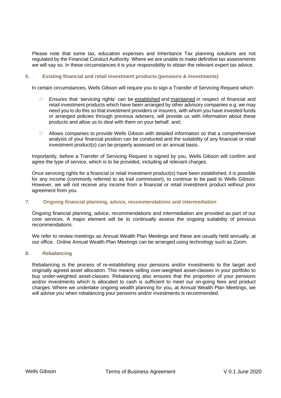Please note that some tax, education expenses and Inheritance Tax planning solutions are not regulated by the Financial Conduct Authority. Where we are unable to make definitive tax assessments we will say so. In these circumstances it is your responsibility to obtain the relevant expert tax advice.

#### **6. Existing financial and retail investment products (pensions & investments)**

In certain circumstances, Wells Gibson will require you to sign a Transfer of Servicing Request which:

- $\circledR$ Ensures that 'servicing rights' can be established and maintained in respect of financial and retail investment products which have been arranged by other advisory companies e.g. we may need you to do this so that investment providers or insurers, with whom you have invested funds or arranged policies through previous advisers, will provide us with information about these products and allow us to deal with them on your behalf. and;
- $\circledR$ Allows companies to provide Wells Gibson with detailed information so that a comprehensive analysis of your financial position can be conducted and the suitability of any financial or retail investment product(s) can be properly assessed on an annual basis.

Importantly, before a Transfer of Servicing Request is signed by you, Wells Gibson will confirm and agree the type of service, which is to be provided, including all relevant charges.

Once servicing rights for a financial or retail investment product(s) have been established, it is possible for any income (commonly referred to as trail commission), to continue to be paid to Wells Gibson. However, we will not receive any income from a financial or retail investment product without prior agreement from you.

#### **7. Ongoing financial planning, advice, recommendations and intermediation**

Ongoing financial planning, advice, recommendations and intermediation are provided as part of our core services. A major element will be to continually assess the ongoing suitability of previous recommendations.

We refer to review meetings as Annual Wealth Plan Meetings and these are usually held annually, at our office. Online Annual Wealth Plan Meetings can be arranged using technology such as Zoom.

#### **8. Rebalancing**

Rebalancing is the process of re-establishing your pensions and/or investments to the target and originally agreed asset allocation. This means selling over-weighted asset-classes in your portfolio to buy under-weighted asset-classes. Rebalancing also ensures that the proportion of your pensions and/or investments which is allocated to cash is sufficient to meet our on-going fees and product charges. Where we undertake ongoing wealth planning for you, at Annual Wealth Plan Meetings, we will advise you when rebalancing your pensions and/or investments is recommended.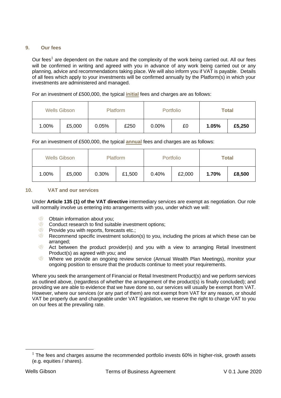#### **9. Our fees**

Our fees<sup>1</sup> are dependent on the nature and the complexity of the work being carried out. All our fees will be confirmed in writing and agreed with you in advance of any work being carried out or any planning, advice and recommendations taking place. We will also inform you if VAT is payable. Details of all fees which apply to your investments will be confirmed annually by the Platform(s) in which your investments are administered and managed.

For an investment of £500,000, the typical **initial** fees and charges are as follows:

| <b>Wells Gibson</b> |        | <b>Platform</b> |      | <b>Portfolio</b> |    | <b>Total</b> |        |
|---------------------|--------|-----------------|------|------------------|----|--------------|--------|
| 1.00%               | £5,000 | 0.05%           | £250 | 0.00%            | £0 | 1.05%        | £5,250 |

For an investment of £500,000, the typical **annual** fees and charges are as follows:

| <b>Wells Gibson</b> |        | <b>Platform</b> |        | <b>Portfolio</b> |        | <b>Total</b> |        |
|---------------------|--------|-----------------|--------|------------------|--------|--------------|--------|
| 1.00%               | £5,000 | 0.30%           | £1,500 | 0.40%            | £2,000 | 1.70%        | £8,500 |

#### **10. VAT and our services**

Under **Article 135 (1) of the VAT directive** intermediary services are exempt as negotiation. Our role will normally involve us entering into arrangements with you, under which we will:

- $\circledR$ Obtain information about you;
- **EXECONDUCT CONDUCT CONCORTED FINDS:** Conduct research to find suitable investment options;
- **Provide you with reports, forecasts etc.;**
- $\circledast$  Recommend specific investment solution(s) to you, including the prices at which these can be arranged;
- **EXECUTE:** Act between the product provider(s) and you with a view to arranging Retail Investment Product(s) as agreed with you; and
- Where we provide an ongoing review service (Annual Wealth Plan Meetings), monitor your ongoing position to ensure that the products continue to meet your requirements.

Where you seek the arrangement of Financial or Retail Investment Product(s) and we perform services as outlined above, (regardless of whether the arrangement of the product(s) is finally concluded); and providing we are able to evidence that we have done so, our services will usually be exempt from VAT. However, where our services (or any part of them) are not exempt from VAT for any reason, or should VAT be properly due and chargeable under VAT legislation, we reserve the right to charge VAT to you on our fees at the prevailing rate.

 $1$  The fees and charges assume the recommended portfolio invests 60% in higher-risk, growth assets (e.g. equities / shares).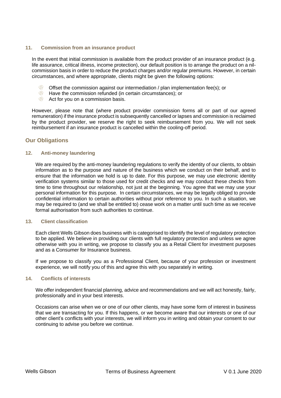#### **11. Commission from an insurance product**

In the event that initial commission is available from the product provider of an insurance product (e.g. life assurance, critical illness, income protection), our default position is to arrange the product on a nilcommission basis in order to reduce the product charges and/or regular premiums. However, in certain circumstances, and where appropriate, clients might be given the following options:

- $\circledast$  Offset the commission against our intermediation / plan implementation fee(s); or
- $\circledR$ Have the commission refunded (in certain circumstances); or
- $\circledR$ Act for you on a commission basis.

However, please note that (where product provider commission forms all or part of our agreed remuneration) if the insurance product is subsequently cancelled or lapses and commission is reclaimed by the product provider, we reserve the right to seek reimbursement from you. We will not seek reimbursement if an insurance product is cancelled within the cooling-off period.

#### **Our Obligations**

#### **12. Anti-money laundering**

We are required by the anti-money laundering regulations to verify the identity of our clients, to obtain information as to the purpose and nature of the business which we conduct on their behalf, and to ensure that the information we hold is up to date. For this purpose, we may use electronic identity verification systems similar to those used for credit checks and we may conduct these checks from time to time throughout our relationship, not just at the beginning. You agree that we may use your personal information for this purpose. In certain circumstances, we may be legally obliged to provide confidential information to certain authorities without prior reference to you. In such a situation, we may be required to (and we shall be entitled to) cease work on a matter until such time as we receive formal authorisation from such authorities to continue.

#### **13. Client classification**

Each client Wells Gibson does business with is categorised to identify the level of regulatory protection to be applied. We believe in providing our clients with full regulatory protection and unless we agree otherwise with you in writing, we propose to classify you as a Retail Client for investment purposes and as a Consumer for Insurance business.

If we propose to classify you as a Professional Client, because of your profession or investment experience, we will notify you of this and agree this with you separately in writing.

#### **14. Conflicts of interests**

We offer independent financial planning, advice and recommendations and we will act honestly, fairly, professionally and in your best interests.

Occasions can arise when we or one of our other clients, may have some form of interest in business that we are transacting for you. If this happens, or we become aware that our interests or one of our other client's conflicts with your interests, we will inform you in writing and obtain your consent to our continuing to advise you before we continue.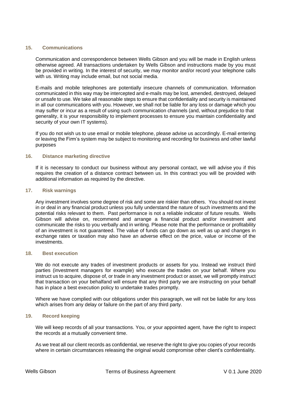#### **15. Communications**

Communication and correspondence between Wells Gibson and you will be made in English unless otherwise agreed. All transactions undertaken by Wells Gibson and instructions made by you must be provided in writing. In the interest of security, we may monitor and/or record your telephone calls with us. Writing may include email, but not social media.

E-mails and mobile telephones are potentially insecure channels of communication. Information communicated in this way may be intercepted and e-mails may be lost, amended, destroyed, delayed or unsafe to use. We take all reasonable steps to ensure that confidentiality and security is maintained in all our communications with you. However, we shall not be liable for any loss or damage which you may suffer or incur as a result of using such communication channels (and, without prejudice to that generality, it is your responsibility to implement processes to ensure you maintain confidentiality and security of your own IT systems).

If you do not wish us to use email or mobile telephone, please advise us accordingly. E-mail entering or leaving the Firm's system may be subject to monitoring and recording for business and other lawful purposes

#### **16. Distance marketing directive**

If it is necessary to conduct our business without any personal contact, we will advise you if this requires the creation of a distance contract between us. In this contract you will be provided with additional information as required by the directive.

#### **17. Risk warnings**

Any investment involves some degree of risk and some are riskier than others. You should not invest in or deal in any financial product unless you fully understand the nature of such investments and the potential risks relevant to them. Past performance is not a reliable indicator of future results. Wells Gibson will advise on, recommend and arrange a financial product and/or investment and communicate the risks to you verbally and in writing. Please note that the performance or profitability of an investment is not guaranteed. The value of funds can go down as well as up and changes in exchange rates or taxation may also have an adverse effect on the price, value or income of the investments.

#### **18. Best execution**

We do not execute any trades of investment products or assets for you. Instead we instruct third parties (investment managers for example) who execute the trades on your behalf. Where you instruct us to acquire, dispose of, or trade in any investment product or asset, we will promptly instruct that transaction on your behalfand will ensure that any third party we are instructing on your behalf has in place a best execution policy to undertake trades promptly.

Where we have complied with our obligations under this paragraph, we will not be liable for any loss which arises from any delay or failure on the part of any third party.

#### **19. Record keeping**

We will keep records of all your transactions. You, or your appointed agent, have the right to inspect the records at a mutually convenient time.

As we treat all our client records as confidential, we reserve the right to give you copies of your records where in certain circumstances releasing the original would compromise other client's confidentiality.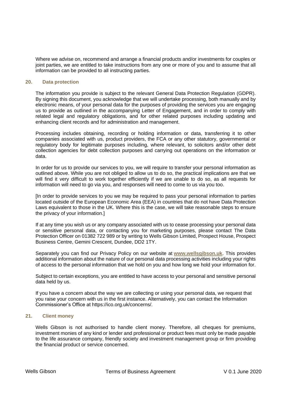Where we advise on, recommend and arrange a financial products and/or investments for couples or joint parties, we are entitled to take instructions from any one or more of you and to assume that all information can be provided to all instructing parties.

#### **20. Data protection**

The information you provide is subject to the relevant General Data Protection Regulation (GDPR). By signing this document, you acknowledge that we will undertake processing, both manually and by electronic means, of your personal data for the purposes of providing the services you are engaging us to provide as outlined in the accompanying Letter of Engagement, and in order to comply with related legal and regulatory obligations, and for other related purposes including updating and enhancing client records and for administration and management.

Processing includes obtaining, recording or holding information or data, transferring it to other companies associated with us, product providers, the FCA or any other statutory, governmental or regulatory body for legitimate purposes including, where relevant, to solicitors and/or other debt collection agencies for debt collection purposes and carrying out operations on the information or data.

In order for us to provide our services to you, we will require to transfer your personal information as outlined above. While you are not obliged to allow us to do so, the practical implications are that we will find it very difficult to work together efficiently if we are unable to do so, as all requests for information will need to go via you, and responses will need to come to us via you too.

[In order to provide services to you we may be required to pass your personal information to parties located outside of the European Economic Area (EEA) in countries that do not have Data Protection Laws equivalent to those in the UK. Where this is the case, we will take reasonable steps to ensure the privacy of your information.]

If at any time you wish us or any company associated with us to cease processing your personal data or sensitive personal data, or contacting you for marketing purposes, please contact The Data Protection Officer on 01382 722 989 or by writing to Wells Gibson Limited, Prospect House, Prospect Business Centre, Gemini Crescent, Dundee, DD2 1TY.

Separately you can find our Privacy Policy on our website at **[www.wellsgibson.uk](http://www.wellsgibson.uk/)**. This provides additional information about the nature of our personal data processing activities including your rights of access to the personal information that we hold on you and how long we hold your information for.

Subject to certain exceptions, you are entitled to have access to your personal and sensitive personal data held by us.

If you have a concern about the way we are collecting or using your personal data, we request that you raise your concern with us in the first instance. Alternatively, you can contact the Information Commissioner's Office a[t https://ico.org.uk/concerns/.](https://ico.org.uk/concerns/)

#### **21. Client money**

Wells Gibson is not authorised to handle client money. Therefore, all cheques for premiums, investment monies of any kind or lender and professional or product fees must only be made payable to the life assurance company, friendly society and investment management group or firm providing the financial product or service concerned.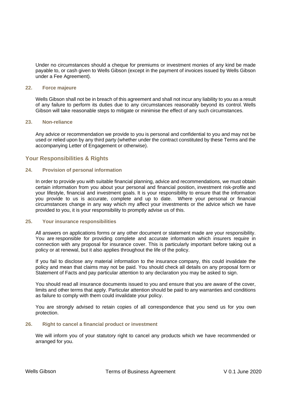Under no circumstances should a cheque for premiums or investment monies of any kind be made payable to, or cash given to Wells Gibson (except in the payment of invoices issued by Wells Gibson under a Fee Agreement).

#### **22. Force majeure**

Wells Gibson shall not be in breach of this agreement and shall not incur any liability to you as a result of any failure to perform its duties due to any circumstances reasonably beyond its control. Wells Gibson will take reasonable steps to mitigate or minimise the effect of any such circumstances.

#### **23. Non-reliance**

Any advice or recommendation we provide to you is personal and confidential to you and may not be used or relied upon by any third party (whether under the contract constituted by these Terms and the accompanying Letter of Engagement or otherwise).

#### **Your Responsibilities & Rights**

#### **24. Provision of personal information**

In order to provide you with suitable financial planning, advice and recommendations, we must obtain certain information from you about your personal and financial position, investment risk-profile and your lifestyle, financial and investment goals. It is your responsibility to ensure that the information you provide to us is accurate, complete and up to date. Where your personal or financial circumstances change in any way which my affect your investments or the advice which we have provided to you, it is your responsibility to promptly advise us of this.

#### **25. Your insurance responsibilities**

All answers on applications forms or any other document or statement made are your responsibility. You are responsible for providing complete and accurate information which insurers require in connection with any proposal for insurance cover. This is particularly important before taking out a policy or at renewal, but it also applies throughout the life of the policy.

If you fail to disclose any material information to the insurance company, this could invalidate the policy and mean that claims may not be paid. You should check all details on any proposal form or Statement of Facts and pay particular attention to any declaration you may be asked to sign.

You should read all insurance documents issued to you and ensure that you are aware of the cover, limits and other terms that apply. Particular attention should be paid to any warranties and conditions as failure to comply with them could invalidate your policy.

You are strongly advised to retain copies of all correspondence that you send us for you own protection.

#### **26. Right to cancel a financial product or investment**

We will inform you of your statutory right to cancel any products which we have recommended or arranged for you.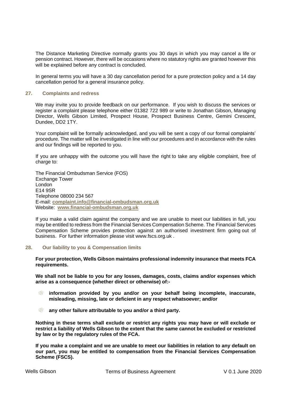The Distance Marketing Directive normally grants you 30 days in which you may cancel a life or pension contract. However, there will be occasions where no statutory rights are granted however this will be explained before any contract is concluded.

In general terms you will have a 30 day cancellation period for a pure protection policy and a 14 day cancellation period for a general insurance policy.

#### **27. Complaints and redress**

We may invite you to provide feedback on our performance. If you wish to discuss the services or register a complaint please telephone either 01382 722 989 or write to Jonathan Gibson, Managing Director, Wells Gibson Limited, Prospect House, Prospect Business Centre, Gemini Crescent, Dundee, DD2 1TY.

Your complaint will be formally acknowledged, and you will be sent a copy of our formal complaints' procedure. The matter will be investigated in line with our procedures and in accordance with the rules and our findings will be reported to you.

If you are unhappy with the outcome you will have the right to take any eligible complaint, free of charge to:

The Financial Ombudsman Service (FOS) Exchange Tower London E14 9SR Telephone 08000 234 567 E-mail: **[complaint.info@financial-ombudsman.org.uk](mailto:complaint.info@financial-ombudsman.org.uk)** Website: **[www.financial-ombudsman.org.uk](http://www.financial-ombudsman.org.uk/)**

If you make a valid claim against the company and we are unable to meet our liabilities in full, you may be entitled to redress from the Financial Services Compensation Scheme. The Financial Services Compensation Scheme provides protection against an authorised investment firm going out of business. For further information please visit www.fscs.org.uk .

#### **28. Our liability to you & Compensation limits**

**For your protection, Wells Gibson maintains professional indemnity insurance that meets FCA requirements.**

**We shall not be liable to you for any losses, damages, costs, claims and/or expenses which arise as a consequence (whether direct or otherwise) of:-**

- </del> **information provided by you and/or on your behalf being incomplete, inaccurate, misleading, missing, late or deficient in any respect whatsoever; and/or**
- $\circledR$ **any other failure attributable to you and/or a third party.**

**Nothing in these terms shall exclude or restrict any rights you may have or will exclude or restrict a liability of Wells Gibson to the extent that the same cannot be excluded or restricted by law or by the regulatory rules of the FCA.**

If you make a complaint and we are unable to meet our liabilities in relation to any default on **our part, you may be entitled to compensation from the Financial Services Compensation Scheme (FSCS).**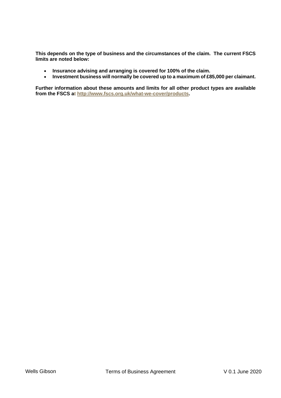**This depends on the type of business and the circumstances of the claim. The current FSCS limits are noted below:**

- **Insurance advising and arranging is covered for 100% of the claim.**
- **Investment business will normally be covered up to a maximum of £85,000 per claimant.**

**Further information about these amounts and limits for all other product types are available from the FSCS at [http://www.fscs.org.uk/what-we-cover/products.](http://www.fscs.org.uk/what-we-cover/products)**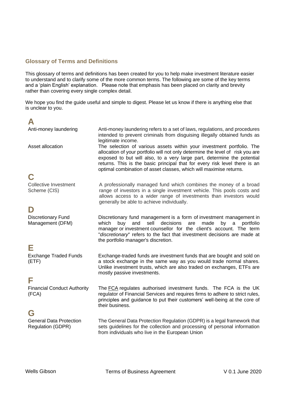#### **Glossary of Terms and Definitions**

This glossary of terms and definitions has been created for you to help make investment literature easier to understand and to clarify some of the more common terms. The following are some of the key terms and a 'plain English' explanation. Please note that emphasis has been placed on clarity and brevity rather than covering every single complex detail.

We hope you find the guide useful and simple to digest. Please let us know if there is anything else that is unclear to you.

| Anti-money laundering                                      | Anti-money laundering refers to a set of laws, regulations, and procedures<br>intended to prevent criminals from disguising illegally obtained funds as<br>legitimate income.                                                                                                                                                                                                          |
|------------------------------------------------------------|----------------------------------------------------------------------------------------------------------------------------------------------------------------------------------------------------------------------------------------------------------------------------------------------------------------------------------------------------------------------------------------|
| Asset allocation                                           | The selection of various assets within your investment portfolio. The<br>allocation of your portfolio will not only determine the level of risk you are<br>exposed to but will also, to a very large part, determine the potential<br>returns. This is the basic principal that for every risk level there is an<br>optimal combination of asset classes, which will maximise returns. |
|                                                            |                                                                                                                                                                                                                                                                                                                                                                                        |
| <b>Collective Investment</b><br>Scheme (CIS)               | A professionally managed fund which combines the money of a broad<br>range of investors in a single investment vehicle. This pools costs and<br>allows access to a wider range of investments than investors would<br>generally be able to achieve individually.                                                                                                                       |
|                                                            |                                                                                                                                                                                                                                                                                                                                                                                        |
| <b>Discretionary Fund</b><br>Management (DFM)              | Discretionary fund management is a form of investment management in<br>which<br>buy<br>and<br>sell<br>decisions<br>made<br>portfolio<br>by<br>$\mathsf{a}$<br>are<br>manager or investment counsellor for the client's account. The term<br>"discretionary" refers to the fact that investment decisions are made at<br>the portfolio manager's discretion.                            |
| Е                                                          |                                                                                                                                                                                                                                                                                                                                                                                        |
| <b>Exchange Traded Funds</b><br>(ETF)                      | Exchange-traded funds are investment funds that are bought and sold on<br>a stock exchange in the same way as you would trade normal shares.<br>Unlike investment trusts, which are also traded on exchanges, ETFs are<br>mostly passive investments.                                                                                                                                  |
| F                                                          |                                                                                                                                                                                                                                                                                                                                                                                        |
| <b>Financial Conduct Authority</b><br>(FCA)                | The <b>FCA</b> regulates authorised investment funds. The FCA is the UK<br>regulator of Financial Services and requires firms to adhere to strict rules,<br>principles and guidance to put their customers' well-being at the core of<br>their business.                                                                                                                               |
| G                                                          |                                                                                                                                                                                                                                                                                                                                                                                        |
| <b>General Data Protection</b><br><b>Regulation (GDPR)</b> | The General Data Protection Regulation (GDPR) is a legal framework that<br>sets guidelines for the collection and processing of personal information<br>from individuals who live in the European Union                                                                                                                                                                                |